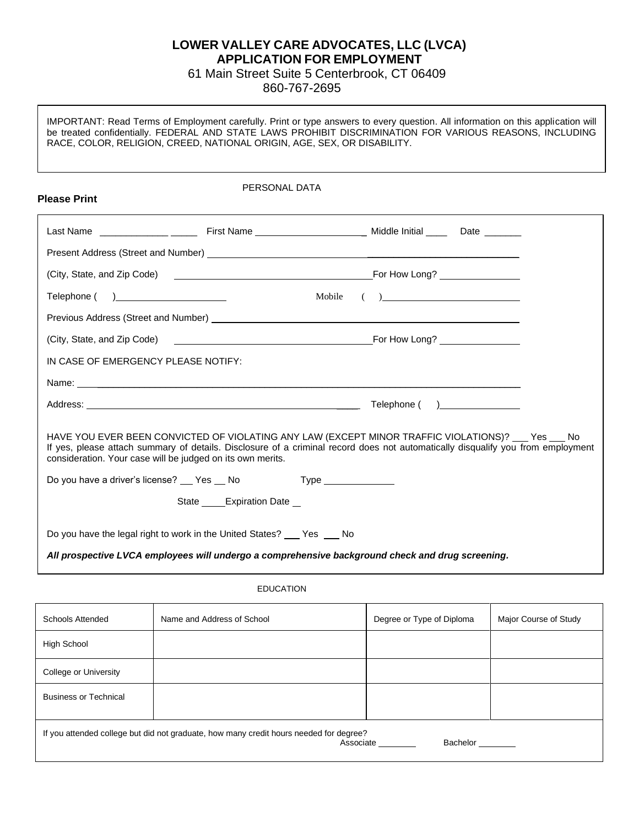## **LOWER VALLEY CARE ADVOCATES, LLC (LVCA) APPLICATION FOR EMPLOYMENT**

61 Main Street Suite 5 Centerbrook, CT 06409

860-767-2695

IMPORTANT: Read Terms of Employment carefully. Print or type answers to every question. All information on this application will be treated confidentially. FEDERAL AND STATE LAWS PROHIBIT DISCRIMINATION FOR VARIOUS REASONS, INCLUDING RACE, COLOR, RELIGION, CREED, NATIONAL ORIGIN, AGE, SEX, OR DISABILITY.

| <b>Please Print</b>                                        | PERSONAL DATA                                                                                                                                                                                                                          |        |                                                                                                                                                                                                                                                                                                                                                                                   |  |
|------------------------------------------------------------|----------------------------------------------------------------------------------------------------------------------------------------------------------------------------------------------------------------------------------------|--------|-----------------------------------------------------------------------------------------------------------------------------------------------------------------------------------------------------------------------------------------------------------------------------------------------------------------------------------------------------------------------------------|--|
|                                                            |                                                                                                                                                                                                                                        |        |                                                                                                                                                                                                                                                                                                                                                                                   |  |
|                                                            |                                                                                                                                                                                                                                        |        |                                                                                                                                                                                                                                                                                                                                                                                   |  |
|                                                            |                                                                                                                                                                                                                                        |        |                                                                                                                                                                                                                                                                                                                                                                                   |  |
| Telephone ( )________________________                      |                                                                                                                                                                                                                                        | Mobile | $\begin{picture}(150,10) \put(0,0){\dashbox{0.5}(10,0){ }} \put(150,0){\circle{10}} \put(150,0){\circle{10}} \put(150,0){\circle{10}} \put(150,0){\circle{10}} \put(150,0){\circle{10}} \put(150,0){\circle{10}} \put(150,0){\circle{10}} \put(150,0){\circle{10}} \put(150,0){\circle{10}} \put(150,0){\circle{10}} \put(150,0){\circle{10}} \put(150,0){\circle{10}} \put(150,$ |  |
|                                                            |                                                                                                                                                                                                                                        |        |                                                                                                                                                                                                                                                                                                                                                                                   |  |
|                                                            |                                                                                                                                                                                                                                        |        |                                                                                                                                                                                                                                                                                                                                                                                   |  |
| IN CASE OF EMERGENCY PLEASE NOTIFY:                        |                                                                                                                                                                                                                                        |        |                                                                                                                                                                                                                                                                                                                                                                                   |  |
|                                                            |                                                                                                                                                                                                                                        |        |                                                                                                                                                                                                                                                                                                                                                                                   |  |
|                                                            |                                                                                                                                                                                                                                        |        |                                                                                                                                                                                                                                                                                                                                                                                   |  |
| consideration. Your case will be judged on its own merits. | HAVE YOU EVER BEEN CONVICTED OF VIOLATING ANY LAW (EXCEPT MINOR TRAFFIC VIOLATIONS)? ___ Yes ___ No<br>If yes, please attach summary of details. Disclosure of a criminal record does not automatically disqualify you from employment |        |                                                                                                                                                                                                                                                                                                                                                                                   |  |
|                                                            | Do you have a driver's license? Compared No Type Type Comparent Do you have a driver's license? Comparent No Type                                                                                                                      |        |                                                                                                                                                                                                                                                                                                                                                                                   |  |
|                                                            | State Expiration Date                                                                                                                                                                                                                  |        |                                                                                                                                                                                                                                                                                                                                                                                   |  |
|                                                            | Do you have the legal right to work in the United States? Fig. States 20 No<br>All prospective LVCA employees will undergo a comprehensive background check and drug screening.                                                        |        |                                                                                                                                                                                                                                                                                                                                                                                   |  |

| <b>Schools Attended</b>                                                                                         | Name and Address of School | Degree or Type of Diploma | Major Course of Study |
|-----------------------------------------------------------------------------------------------------------------|----------------------------|---------------------------|-----------------------|
| <b>High School</b>                                                                                              |                            |                           |                       |
| College or University                                                                                           |                            |                           |                       |
| <b>Business or Technical</b>                                                                                    |                            |                           |                       |
| If you attended college but did not graduate, how many credit hours needed for degree?<br>Associate<br>Bachelor |                            |                           |                       |

EDUCATION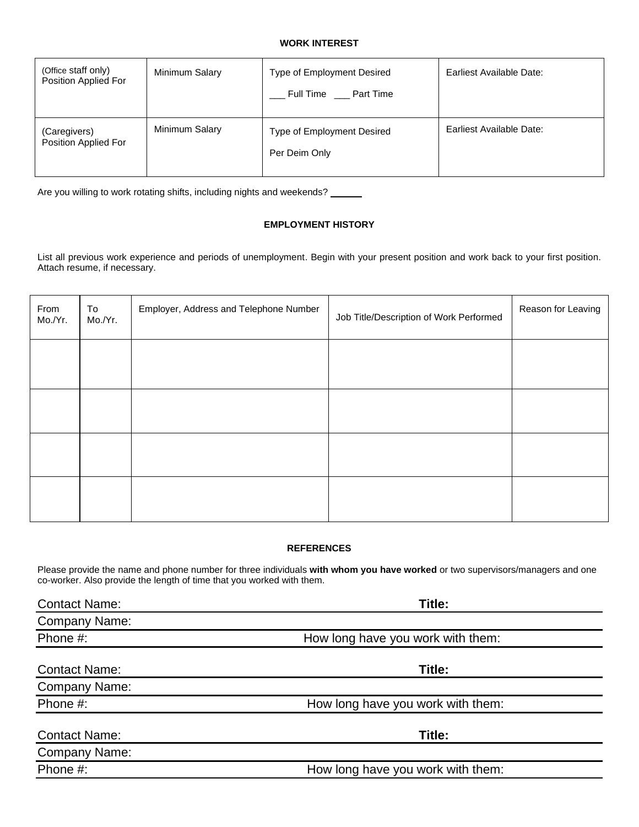#### **WORK INTEREST**

| (Office staff only)<br>Position Applied For | Minimum Salary | Type of Employment Desired<br>Full Time ___ Part Time | Earliest Available Date: |
|---------------------------------------------|----------------|-------------------------------------------------------|--------------------------|
| (Caregivers)<br>Position Applied For        | Minimum Salary | Type of Employment Desired<br>Per Deim Only           | Earliest Available Date: |

Are you willing to work rotating shifts, including nights and weekends? \_\_\_\_\_\_

### **EMPLOYMENT HISTORY**

List all previous work experience and periods of unemployment. Begin with your present position and work back to your first position. Attach resume, if necessary.

| From<br>Mo./Yr. | To<br>Mo./Yr. | Employer, Address and Telephone Number | Job Title/Description of Work Performed | Reason for Leaving |
|-----------------|---------------|----------------------------------------|-----------------------------------------|--------------------|
|                 |               |                                        |                                         |                    |
|                 |               |                                        |                                         |                    |
|                 |               |                                        |                                         |                    |
|                 |               |                                        |                                         |                    |

### **REFERENCES**

Please provide the name and phone number for three individuals **with whom you have worked** or two supervisors/managers and one co-worker. Also provide the length of time that you worked with them.

| <b>Contact Name:</b> | Title:                            |  |
|----------------------|-----------------------------------|--|
| <b>Company Name:</b> |                                   |  |
| Phone #:             | How long have you work with them: |  |
| <b>Contact Name:</b> | Title:                            |  |
| <b>Company Name:</b> |                                   |  |
| Phone #:             | How long have you work with them: |  |
| <b>Contact Name:</b> | Title:                            |  |
| Company Name:        |                                   |  |
| Phone #:             | How long have you work with them: |  |